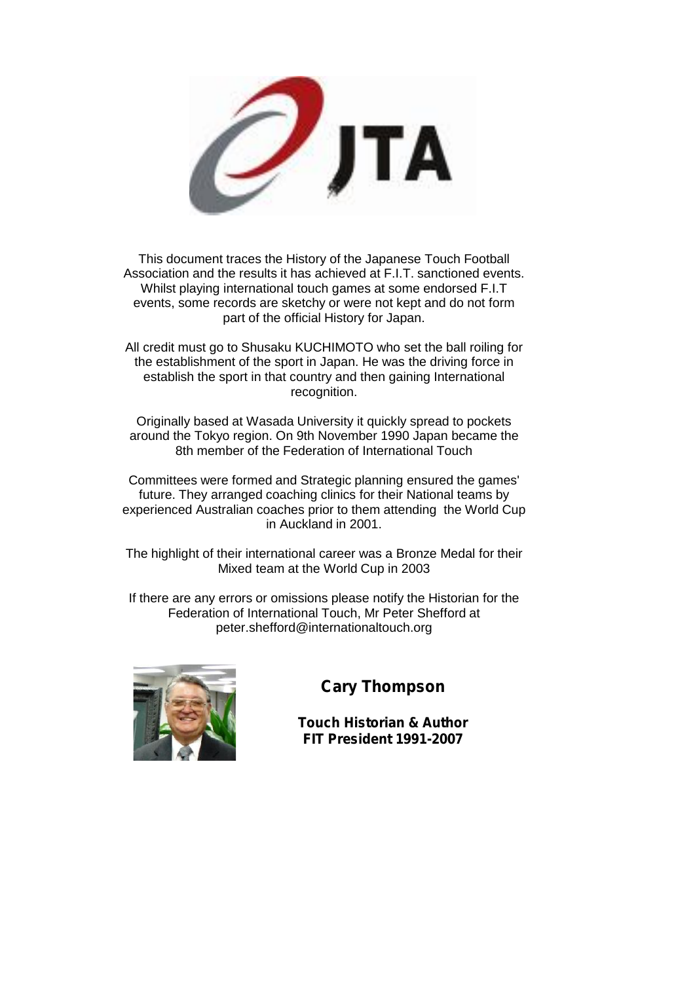

This document traces the History of the Japanese Touch Football Association and the results it has achieved at F.I.T. sanctioned events. Whilst playing international touch games at some endorsed F.I.T events, some records are sketchy or were not kept and do not form part of the official History for Japan.

All credit must go to Shusaku KUCHIMOTO who set the ball roiling for the establishment of the sport in Japan. He was the driving force in establish the sport in that country and then gaining International recognition.

Originally based at Wasada University it quickly spread to pockets around the Tokyo region. On 9th November 1990 Japan became the 8th member of the Federation of International Touch

Committees were formed and Strategic planning ensured the games' future. They arranged coaching clinics for their National teams by experienced Australian coaches prior to them attending the World Cup in Auckland in 2001.

The highlight of their international career was a Bronze Medal for their Mixed team at the World Cup in 2003

If there are any errors or omissions please notify the Historian for the Federation of International Touch, Mr Peter Shefford at peter.shefford@internationaltouch.org



## **Cary Thompson**

**Touch Historian & Author FIT President 1991-2007**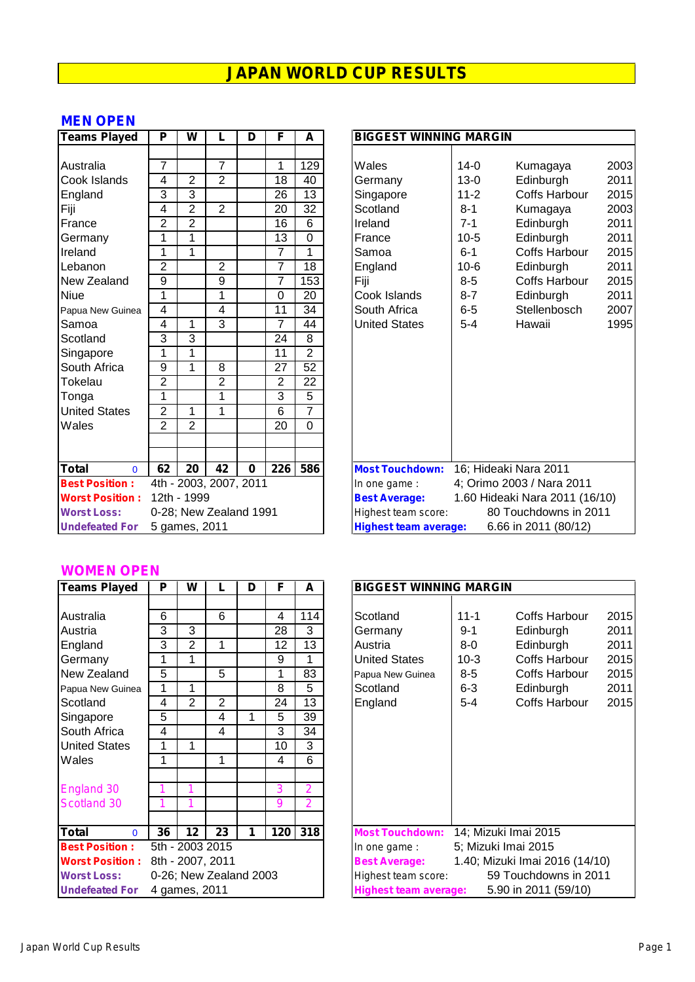#### **MEN OPEN**

| <b>Teams Played</b>      | P              | W              | L                      | D        | F               | A               | <b>BIGGEST WINNING MARGIN</b>                                   |
|--------------------------|----------------|----------------|------------------------|----------|-----------------|-----------------|-----------------------------------------------------------------|
|                          |                |                |                        |          |                 |                 |                                                                 |
| Australia                | $\overline{7}$ |                | $\overline{7}$         |          | 1               | 129             | Wales<br>$14 - 0$<br>20<br>Kumagaya                             |
| Cook Islands             | 4              | $\overline{2}$ | $\overline{2}$         |          | 18              | 40              | 20<br>$13 - 0$<br>Edinburgh<br>Germany                          |
| England                  | 3              | 3              |                        |          | 26              | 13              | 2 <sub>C</sub><br>$11 - 2$<br><b>Coffs Harbour</b><br>Singapore |
| Fiji                     | 4              | $\overline{2}$ | $\overline{2}$         |          | 20              | $\overline{32}$ | 20<br>Scotland<br>$8 - 1$<br>Kumagaya                           |
| France                   | $\overline{2}$ | $\overline{2}$ |                        |          | 16              | 6               | Ireland<br>$7 - 1$<br>Edinburgh<br>20                           |
| Germany                  | 1              | 1              |                        |          | 13              | $\Omega$        | Edinburgh<br>20<br>France<br>$10-5$                             |
| Ireland                  | 1              | 1              |                        |          | $\overline{7}$  | 1               | 20<br><b>Coffs Harbour</b><br>Samoa<br>$6 - 1$                  |
| Lebanon                  | $\overline{2}$ |                | $\overline{c}$         |          | $\overline{7}$  | 18              | 20<br>$10 - 6$<br>England<br>Edinburgh                          |
| New Zealand              | 9              |                | 9                      |          | $\overline{7}$  | 153             | $8-5$<br><b>Coffs Harbour</b><br>20<br>Fiji                     |
| <b>Niue</b>              | 1              |                | 1                      |          | $\mathbf 0$     | 20              | 20<br>Cook Islands<br>$8 - 7$<br>Edinburgh                      |
| Papua New Guinea         | 4              |                | 4                      |          | 11              | 34              | Stellenbosch<br>South Africa<br>$6 - 5$<br>20                   |
| Samoa                    | $\overline{4}$ | 1              | $\overline{3}$         |          | $\overline{7}$  | 44              | 1 <sup>c</sup><br><b>United States</b><br>$5 - 4$<br>Hawaii     |
| Scotland                 | 3              | 3              |                        |          | 24              | 8               |                                                                 |
| Singapore                | 1              |                |                        |          | 11              | $\overline{2}$  |                                                                 |
| South Africa             | 9              | 1              | 8                      |          | $\overline{27}$ | 52              |                                                                 |
| Tokelau                  | $\overline{2}$ |                | $\overline{2}$         |          | $\overline{2}$  | 22              |                                                                 |
| Tonga                    | 1              |                | 1                      |          | 3               | 5               |                                                                 |
| <b>United States</b>     | $\overline{2}$ | 1              | 1                      |          | $\overline{6}$  | $\overline{7}$  |                                                                 |
| Wales                    | $\overline{2}$ | $\overline{2}$ |                        |          | 20              | $\Omega$        |                                                                 |
|                          |                |                |                        |          |                 |                 |                                                                 |
|                          |                |                |                        |          |                 |                 |                                                                 |
| <b>Total</b><br>$\Omega$ | 62             | 20             | 42                     | $\bf{0}$ | 226             | 586             | 16; Hideaki Nara 2011<br><b>Most Touchdown:</b>                 |
| <b>Best Position:</b>    |                |                | 4th - 2003, 2007, 2011 |          |                 |                 | 4; Orimo 2003 / Nara 2011<br>In one game :                      |
| <b>Worst Position:</b>   |                | 12th - 1999    |                        |          |                 |                 | 1.60 Hideaki Nara 2011 (16/10)<br><b>Best Average:</b>          |
| <b>Worst Loss:</b>       |                |                | 0-28; New Zealand 1991 |          |                 |                 | 80 Touchdowns in 2011<br>Highest team score:                    |
| <b>Undefeated For</b>    |                | 5 games, 2011  |                        |          |                 |                 | 6.66 in 2011 (80/12)<br><b>Highest team average:</b>            |

| <b>Teams Played</b>    | P                       | W              |                | D        | F                | A               | <b>BIGGEST WINNING MARGIN</b>                          |                                                      |                       |      |  |  |
|------------------------|-------------------------|----------------|----------------|----------|------------------|-----------------|--------------------------------------------------------|------------------------------------------------------|-----------------------|------|--|--|
|                        |                         |                |                |          |                  |                 |                                                        |                                                      |                       |      |  |  |
| Australia              | 7                       |                | 7              |          | 1                | 129             | Wales                                                  | $14-0$                                               | Kumagaya              | 2003 |  |  |
| Cook Islands           | 4                       | 2              | $\overline{2}$ |          | 18               | 40              | Germany                                                | $13-0$                                               | Edinburgh             | 2011 |  |  |
| England                | 3                       | 3              |                |          | 26               | 13              | Singapore                                              | $11 - 2$                                             | <b>Coffs Harbour</b>  | 2015 |  |  |
| Fiji                   | 4                       | $\overline{2}$ | 2              |          | 20               | 32              | Scotland                                               | $8 - 1$                                              | Kumagaya              | 2003 |  |  |
| France                 | $\overline{2}$          | $\overline{2}$ |                |          | 16               | 6               | Ireland                                                | $7 - 1$                                              | Edinburgh             | 2011 |  |  |
| Germany                | 1                       | 1              |                |          | 13               | 0               | France                                                 | $10-5$                                               | Edinburgh             | 2011 |  |  |
| Ireland                | 1                       | 1              |                |          | 7                |                 | Samoa                                                  | $6 - 1$                                              | <b>Coffs Harbour</b>  | 2015 |  |  |
| Lebanon                | $\overline{2}$          |                | $\overline{2}$ |          | $\overline{7}$   | 18              | England                                                | $10-6$                                               | Edinburgh             | 2011 |  |  |
| New Zealand            | 9                       |                | 9              |          | $\overline{7}$   | 153             | Fiji                                                   | $8-5$                                                | Coffs Harbour         | 2015 |  |  |
| Niue                   | 1                       |                |                |          | 0                | 20              | Cook Islands                                           | $8 - 7$                                              | Edinburgh             | 2011 |  |  |
| Papua New Guinea       | $\overline{\mathbf{4}}$ |                | 4              |          | 11               | $\overline{34}$ | South Africa                                           | $6-5$                                                | Stellenbosch          | 2007 |  |  |
| Samoa                  | 4                       | 1              | 3              |          | $\overline{7}$   | 44              | <b>United States</b>                                   | $5 - 4$                                              | Hawaii                | 1995 |  |  |
| Scotland               | 3                       | 3              |                |          | 24               | 8               |                                                        |                                                      |                       |      |  |  |
| Singapore              | 1                       | 1              |                |          | 11               | $\overline{2}$  |                                                        |                                                      |                       |      |  |  |
| South Africa           | 9                       | 1              | 8              |          | 27               | 52              |                                                        |                                                      |                       |      |  |  |
| Tokelau                | 2                       |                | $\overline{c}$ |          | 2                | 22              |                                                        |                                                      |                       |      |  |  |
| Tonga                  | 1                       |                | 1              |          | 3                | 5               |                                                        |                                                      |                       |      |  |  |
| <b>United States</b>   | $\overline{2}$          | 1              | 1              |          | 6                | $\overline{7}$  |                                                        |                                                      |                       |      |  |  |
| Wales                  | $\overline{2}$          | $\overline{2}$ |                |          | 20               | 0               |                                                        |                                                      |                       |      |  |  |
|                        |                         |                |                |          |                  |                 |                                                        |                                                      |                       |      |  |  |
|                        |                         |                |                |          |                  |                 |                                                        |                                                      |                       |      |  |  |
| Total<br>$\Omega$      | 62                      | 20             | 42             | $\bf{0}$ | $\overline{226}$ | 586             | <b>Most Touchdown:</b>                                 |                                                      | 16; Hideaki Nara 2011 |      |  |  |
| <b>Best Position:</b>  | 4th - 2003, 2007, 2011  |                |                |          |                  |                 | In one game :                                          | 4; Orimo 2003 / Nara 2011                            |                       |      |  |  |
| <b>Worst Position:</b> | 12th - 1999             |                |                |          |                  |                 | 1.60 Hideaki Nara 2011 (16/10)<br><b>Best Average:</b> |                                                      |                       |      |  |  |
| <b>Worst Loss:</b>     | 0-28; New Zealand 1991  |                |                |          |                  |                 | 80 Touchdowns in 2011<br>Highest team score:           |                                                      |                       |      |  |  |
| <b>Undefeated For</b>  | 5 games, 2011           |                |                |          |                  |                 |                                                        | 6.66 in 2011 (80/12)<br><b>Highest team average:</b> |                       |      |  |  |

#### **WOMEN OPEN**

| <b>Teams Played</b>      | P  | W             |                        | D | F   | A   | <b>BIGGEST WINNING MARGIN</b>                         |
|--------------------------|----|---------------|------------------------|---|-----|-----|-------------------------------------------------------|
|                          |    |               |                        |   |     |     |                                                       |
| Australia                | 6  |               | 6                      |   | 4   | 114 | Scotland<br>$11 - 1$<br>Coffs Harbour                 |
| Austria                  | 3  | 3             |                        |   | 28  | 3   | $9 - 1$<br>Edinburgh<br>Germany                       |
| England                  | 3  | 2             | 1                      |   | 12  | 13  | Austria<br>$8-0$<br>Edinburgh                         |
| Germany                  | 1  | 1             |                        |   | 9   | 1   | <b>United States</b><br>Coffs Harbour<br>$10-3$       |
| New Zealand              | 5  |               | 5                      |   | 1   | 83  | $8-5$<br><b>Coffs Harbour</b><br>Papua New Guinea     |
| Papua New Guinea         | 1  | 1             |                        |   | 8   | 5   | $6-3$<br>Scotland<br>Edinburgh                        |
| Scotland                 | 4  | 2             | 2                      |   | 24  | 13  | Coffs Harbour<br>England<br>$5 - 4$                   |
| Singapore                | 5  |               | 4                      | 1 | 5   | 39  |                                                       |
| South Africa             | 4  |               | 4                      |   | 3   | 34  |                                                       |
| <b>United States</b>     | 1  | 1             |                        |   | 10  | 3   |                                                       |
| Wales                    | 1  |               | 1                      |   | 4   | 6   |                                                       |
|                          |    |               |                        |   |     |     |                                                       |
| England 30               |    | 1             |                        |   | 3   | 2   |                                                       |
| Scotland 30              |    | 1             |                        |   | 9   | 2   |                                                       |
|                          |    |               |                        |   |     |     |                                                       |
| <b>Total</b><br>$\Omega$ | 36 | 12            | 23                     | 1 | 120 | 318 | 14; Mizuki Imai 2015<br><b>Most Touchdown:</b>        |
| <b>Best Position:</b>    |    |               | 5th - 2003 2015        |   |     |     | 5; Mizuki Imai 2015<br>In one game:                   |
| <b>Worst Position:</b>   |    |               | 8th - 2007, 2011       |   |     |     | 1.40; Mizuki Imai 2016 (14/10<br><b>Best Average:</b> |
| <b>Worst Loss:</b>       |    |               | 0-26; New Zealand 2003 |   |     |     | 59 Touchdowns in 2011<br>Highest team score:          |
| <b>Undefeated For</b>    |    | 4 games, 2011 |                        |   |     |     | 5.90 in 2011 (59/10)<br><b>Highest team average:</b>  |

| <b>Teams Played</b>    | P                      | W               |    | D | F   | A              | <b>BIGGEST WINNING MARGIN</b> |          |                                |      |  |
|------------------------|------------------------|-----------------|----|---|-----|----------------|-------------------------------|----------|--------------------------------|------|--|
|                        |                        |                 |    |   |     |                |                               |          |                                |      |  |
| Australia              | 6                      |                 | 6  |   | 4   | 114            | Scotland                      | $11 - 1$ | Coffs Harbour                  | 2015 |  |
| Austria                | 3                      | 3               |    |   | 28  | 3              | Germany                       | $9 - 1$  | Edinburgh                      | 2011 |  |
| England                | 3                      | 2               | 1  |   | 12  | 13             | Austria                       | 8-0      | Edinburgh                      | 2011 |  |
| Germany                | 1                      | 1               |    |   | 9   | 1              | <b>United States</b>          | $10-3$   | Coffs Harbour                  | 2015 |  |
| New Zealand            | 5                      |                 | 5  |   | 1   | 83             | Papua New Guinea              | $8-5$    | Coffs Harbour                  | 2015 |  |
| Papua New Guinea       | 1                      |                 |    |   | 8   | 5              | Scotland                      | $6 - 3$  | Edinburgh                      | 2011 |  |
| Scotland               | 4                      | $\overline{2}$  | 2  |   | 24  | 13             | England                       | 5-4      | Coffs Harbour                  | 2015 |  |
| Singapore              | 5                      |                 | 4  |   | 5   | 39             |                               |          |                                |      |  |
| South Africa           | 4                      |                 | 4  |   | 3   | 34             |                               |          |                                |      |  |
| <b>United States</b>   | 1                      | 1               |    |   | 10  | 3              |                               |          |                                |      |  |
| Wales                  | 1                      |                 | 1  |   | 4   | 6              |                               |          |                                |      |  |
|                        |                        |                 |    |   |     |                |                               |          |                                |      |  |
| England 30             |                        |                 |    |   | 3   | 2              |                               |          |                                |      |  |
| Scotland 30            |                        |                 |    |   | 9   | $\overline{2}$ |                               |          |                                |      |  |
|                        |                        |                 |    |   |     |                |                               |          |                                |      |  |
| Total<br>$\Omega$      | 36                     | 12              | 23 |   | 120 | 318            | <b>Most Touchdown:</b>        |          | 14; Mizuki Imai 2015           |      |  |
| <b>Best Position:</b>  |                        | 5th - 2003 2015 |    |   |     |                | In one game:                  |          | 5; Mizuki Imai 2015            |      |  |
| <b>Worst Position:</b> | 8th - 2007, 2011       |                 |    |   |     |                | <b>Best Average:</b>          |          | 1.40; Mizuki Imai 2016 (14/10) |      |  |
| <b>Worst Loss:</b>     | 0-26; New Zealand 2003 |                 |    |   |     |                | Highest team score:           |          | 59 Touchdowns in 2011          |      |  |
| <b>Undefeated For</b>  | 4 games, 2011          |                 |    |   |     |                | <b>Highest team average:</b>  |          | 5.90 in 2011 (59/10)           |      |  |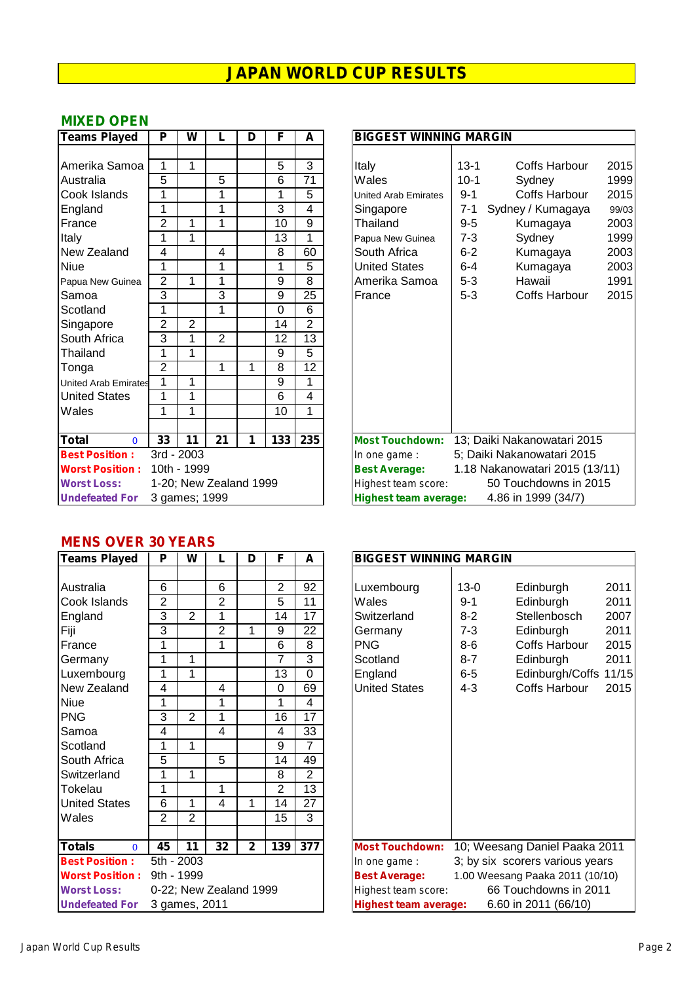#### **MIXED OPEN**

| <b>Teams Played</b>         | P              | W              |                        | D | F   | A              | <b>BIGGEST WINNING MARGIN</b>                                |
|-----------------------------|----------------|----------------|------------------------|---|-----|----------------|--------------------------------------------------------------|
|                             |                |                |                        |   |     |                |                                                              |
| Amerika Samoa               | 1              | 1              |                        |   | 5   | 3              | $13 - 1$<br>Coffs Harbour<br>Italy<br>2                      |
| Australia                   | 5              |                | 5                      |   | 6   | 71             | $10-1$<br>Wales<br>Sydney                                    |
| Cook Islands                | 1              |                | 1                      |   | 1   | $\overline{5}$ | Coffs Harbour<br>2<br>$9 - 1$<br><b>United Arab Emirates</b> |
| England                     | 1              |                | 1                      |   | 3   | $\overline{4}$ | $7 - 1$<br>Sydney / Kumagaya<br>Singapore                    |
| France                      | $\overline{2}$ | 1              | 1                      |   | 10  | 9              | 2<br>$9-5$<br>Thailand<br>Kumagaya                           |
| Italy                       | 1              | 1              |                        |   | 13  | 1              | $7 - 3$<br>Sydney<br>Papua New Guinea                        |
| New Zealand                 | 4              |                | 4                      |   | 8   | 60             | 2<br>South Africa<br>$6 - 2$<br>Kumagaya                     |
| <b>Niue</b>                 | 1              |                | 1                      |   | 1   | 5              | 2<br><b>United States</b><br>$6-4$<br>Kumagaya               |
| Papua New Guinea            | $\overline{2}$ | 1              | 1                      |   | 9   | 8              | Amerika Samoa<br>$5 - 3$<br>Hawaii<br>1                      |
| Samoa                       | 3              |                | 3                      |   | 9   | 25             | $5-3$<br>2<br>Coffs Harbour<br>France                        |
| Scotland                    | 1              |                | 1                      |   | 0   | 6              |                                                              |
| Singapore                   | $\overline{2}$ | $\overline{2}$ |                        |   | 14  | $\overline{2}$ |                                                              |
| South Africa                | 3              | 1              | $\overline{2}$         |   | 12  | 13             |                                                              |
| Thailand                    | 1              | 1              |                        |   | 9   | 5              |                                                              |
| Tonga                       | 2              |                | 1                      | 1 | 8   | 12             |                                                              |
| <b>United Arab Emirates</b> | 1              | 1              |                        |   | 9   | 1              |                                                              |
| <b>United States</b>        | $\overline{1}$ | 1              |                        |   | 6   | $\overline{4}$ |                                                              |
| Wales                       | 1              | 1              |                        |   | 10  | 1              |                                                              |
|                             |                |                |                        |   |     |                |                                                              |
| <b>Total</b><br>$\Omega$    | 33             | 11             | 21                     | 1 | 133 | 235            | 13; Daiki Nakanowatari 2015<br><b>Most Touchdown:</b>        |
| <b>Best Position:</b>       |                | 3rd - 2003     |                        |   |     |                | 5; Daiki Nakanowatari 2015<br>In one game :                  |
| <b>Worst Position:</b>      |                | 10th - 1999    |                        |   |     |                | <b>Best Average:</b><br>1.18 Nakanowatari 2015 (13/1         |
| <b>Worst Loss:</b>          |                |                | 1-20; New Zealand 1999 |   |     |                | 50 Touchdowns in 2015<br>Highest team score:                 |
| <b>Undefeated For</b>       |                | 3 games; 1999  |                        |   |     |                | <b>Highest team average:</b><br>4.86 in 1999 (34/7)          |

| <b>Teams Played</b>         | P                      | W              |                | D | F                | A              | <b>BIGGEST WINNING MARGIN</b>                          |          |                             |       |  |  |  |
|-----------------------------|------------------------|----------------|----------------|---|------------------|----------------|--------------------------------------------------------|----------|-----------------------------|-------|--|--|--|
|                             |                        |                |                |   |                  |                |                                                        |          |                             |       |  |  |  |
| Amerika Samoa               | 1                      | 1              |                |   | 5                | 3              | Italy                                                  | $13 - 1$ | Coffs Harbour               | 2015  |  |  |  |
| Australia                   | 5                      |                | 5              |   | 6                | 71             | Wales                                                  | $10-1$   | Sydney                      | 1999  |  |  |  |
| Cook Islands                | 1                      |                | 1              |   | 1                | 5              | <b>United Arab Emirates</b>                            | $9 - 1$  | Coffs Harbour               | 2015  |  |  |  |
| England                     | 1                      |                | 1              |   | 3                | 4              | Singapore                                              | $7 - 1$  | Sydney / Kumagaya           | 99/03 |  |  |  |
| France                      | 2                      | 1              | 1              |   | 10               | 9              | Thailand                                               | $9-5$    | Kumagaya                    | 2003  |  |  |  |
| Italy                       | 1                      | 1              |                |   | 13               | 1              | Papua New Guinea                                       | $7 - 3$  | Sydney                      | 1999  |  |  |  |
| New Zealand                 | 4                      |                | 4              |   | 8                | 60             | South Africa                                           | $6 - 2$  | Kumagaya                    | 2003  |  |  |  |
| Niue                        | 1                      |                | 1              |   | 1                | 5              | <b>United States</b>                                   | $6-4$    | Kumagaya                    | 2003  |  |  |  |
| Papua New Guinea            | $\overline{2}$         |                | 1              |   | 9                | 8              | Amerika Samoa                                          | $5-3$    | Hawaii                      | 1991  |  |  |  |
| Samoa                       | 3                      |                | 3              |   | 9                | 25             | France                                                 | $5-3$    | Coffs Harbour               | 2015  |  |  |  |
| Scotland                    | 1                      |                | 1              |   | 0                | 6              |                                                        |          |                             |       |  |  |  |
| Singapore                   | $\overline{2}$         | $\overline{2}$ |                |   | 14               | $\overline{2}$ |                                                        |          |                             |       |  |  |  |
| South Africa                | 3                      | 1              | $\overline{2}$ |   | 12               | 13             |                                                        |          |                             |       |  |  |  |
| Thailand                    | 1                      | 1              |                |   | 9                | 5              |                                                        |          |                             |       |  |  |  |
| Tonga                       | 2                      |                | 1              | 1 | 8                | 12             |                                                        |          |                             |       |  |  |  |
| <b>United Arab Emirates</b> | 1                      | 1              |                |   | 9                | 1              |                                                        |          |                             |       |  |  |  |
| <b>United States</b>        | 1                      |                |                |   | 6                | 4              |                                                        |          |                             |       |  |  |  |
| Wales                       | 1                      |                |                |   | 10               | 1              |                                                        |          |                             |       |  |  |  |
|                             |                        |                |                |   |                  |                |                                                        |          |                             |       |  |  |  |
| Total<br>$\Omega$           | 33                     | 11             | 21             | 1 | $\overline{133}$ | 235            | <b>Most Touchdown:</b>                                 |          | 13; Daiki Nakanowatari 2015 |       |  |  |  |
| <b>Best Position:</b>       |                        | 3rd - 2003     |                |   |                  |                | 5; Daiki Nakanowatari 2015<br>In one game :            |          |                             |       |  |  |  |
| <b>Worst Position:</b>      | 10th - 1999            |                |                |   |                  |                | 1.18 Nakanowatari 2015 (13/11)<br><b>Best Average:</b> |          |                             |       |  |  |  |
| <b>Worst Loss:</b>          | 1-20; New Zealand 1999 |                |                |   |                  |                | 50 Touchdowns in 2015<br>Highest team score:           |          |                             |       |  |  |  |
| <b>Undefeated For</b>       | 3 games; 1999          |                |                |   |                  |                | <b>Highest team average:</b>                           |          | 4.86 in 1999 (34/7)         |       |  |  |  |

#### **MENS OVER 30 YEARS**

| <b>Teams Played</b>           | P              | W              | L                      | D              | F                | A               | <b>BIGGEST WINNING MARGIN</b>                     |
|-------------------------------|----------------|----------------|------------------------|----------------|------------------|-----------------|---------------------------------------------------|
|                               |                |                |                        |                |                  |                 |                                                   |
| Australia                     | 6              |                | 6                      |                | $\overline{2}$   | 92              | $13 - 0$<br>Luxembourg<br>Edinburgh               |
| Cook Islands                  | $\overline{2}$ |                | $\overline{2}$         |                | 5                | 11              | Wales<br>$9 - 1$<br>Edinburgh                     |
| England                       | 3              | $\overline{2}$ | 1                      |                | 14               | 17              | Stellenboso<br>$8 - 2$<br>Switzerland             |
| Fiji                          | 3              |                | $\overline{2}$         | 1              | 9                | 22              | $7 - 3$<br>Edinburgh<br>Germany                   |
| France                        | 1              |                | 1                      |                | 6                | 8               | <b>PNG</b><br>Coffs Harb<br>$8-6$                 |
| Germany                       | 1              | 1              |                        |                | $\overline{7}$   | 3               | Scotland<br>$8 - 7$<br>Edinburgh                  |
| Luxembourg                    | 1              | 1              |                        |                | 13               | $\Omega$        | Edinburgh/<br>England<br>$6-5$                    |
| New Zealand                   | 4              |                | 4                      |                | 0                | 69              | <b>United States</b><br>Coffs Harb<br>$4 - 3$     |
| Niue                          | 1              |                | 1                      |                | 1                | 4               |                                                   |
| <b>PNG</b>                    | 3              | 2              | 1                      |                | 16               | $\overline{17}$ |                                                   |
| Samoa                         | 4              |                | 4                      |                | 4                | 33              |                                                   |
| Scotland                      | 1              | 1              |                        |                | 9                | $\overline{7}$  |                                                   |
| South Africa                  | $\overline{5}$ |                | $\overline{5}$         |                | 14               | 49              |                                                   |
| Switzerland                   | 1              | 1              |                        |                | 8                | $\overline{2}$  |                                                   |
| Tokelau                       | 1              |                | 1                      |                | $\overline{2}$   | 13              |                                                   |
| <b>United States</b>          | 6              | 1              | 4                      | 1              | 14               | 27              |                                                   |
| Wales                         | $\overline{2}$ | $\overline{2}$ |                        |                | 15               | 3               |                                                   |
|                               |                |                |                        |                |                  |                 |                                                   |
| <b>Totals</b><br>$\mathbf{0}$ | 45             | 11             | 32                     | $\overline{2}$ | $\overline{139}$ | 377             | 10; Weesang Daniel Pa<br><b>Most Touchdown:</b>   |
| <b>Best Position:</b>         |                | 5th - 2003     |                        |                |                  |                 | 3; by six scorers variou<br>In one game:          |
| <b>Worst Position:</b>        |                | 9th - 1999     |                        |                |                  |                 | 1.00 Weesang Paaka 201<br><b>Best Average:</b>    |
| <b>Worst Loss:</b>            |                |                | 0-22; New Zealand 1999 |                |                  |                 | 66 Touchdowns<br>Highest team score:              |
| <b>Undefeated For</b>         |                | 3 games, 2011  |                        |                |                  |                 | 6.60 in 2011 (66/<br><b>Highest team average:</b> |

| <b>Teams Played</b>       | P                      | W              |                 | D            | F              | A                | <b>BIGGEST WINNING MARGIN</b> |                                 |                                 |       |  |  |
|---------------------------|------------------------|----------------|-----------------|--------------|----------------|------------------|-------------------------------|---------------------------------|---------------------------------|-------|--|--|
|                           |                        |                |                 |              |                |                  |                               |                                 |                                 |       |  |  |
| Australia                 | 6                      |                | 6               |              | 2              | 92               | Luxembourg                    | $13 - 0$                        | Edinburgh                       | 2011  |  |  |
| Cook Islands              | 2                      |                | $\overline{2}$  |              | 5              | 11               | Wales                         | 9-1                             | Edinburgh                       | 2011  |  |  |
| England                   | 3                      | $\overline{2}$ | 1               |              | 14             | 17               | Switzerland                   | $8 - 2$                         | Stellenbosch                    | 2007  |  |  |
| Fiji                      | 3                      |                | $\overline{2}$  |              | 9              | 22               | Germany                       | $7 - 3$                         | Edinburgh                       | 2011  |  |  |
| France                    | 1                      |                | 1               |              | 6              | 8                | <b>PNG</b>                    | $8-6$                           | Coffs Harbour                   | 2015  |  |  |
| Germany                   | 1                      |                |                 |              | 7              | 3                | Scotland                      | $8 - 7$                         | Edinburgh                       | 2011  |  |  |
| Luxembourg                | 1                      | 1              |                 |              | 13             | $\Omega$         | England                       | $6-5$                           | Edinburgh/Coffs                 | 11/15 |  |  |
| New Zealand               | 4                      |                | 4               |              | 0              | 69               | <b>United States</b>          | $4 - 3$                         | <b>Coffs Harbour</b>            | 2015  |  |  |
| Niue                      | 1                      |                | 1               |              | 1              | 4                |                               |                                 |                                 |       |  |  |
| <b>PNG</b>                | 3                      | $\overline{2}$ | 1               |              | 16             | 17               |                               |                                 |                                 |       |  |  |
| Samoa                     | 4                      |                | 4               |              | 4              | 33               |                               |                                 |                                 |       |  |  |
| Scotland                  | 1                      | 1              |                 |              | 9              | $\overline{7}$   |                               |                                 |                                 |       |  |  |
| South Africa              | 5                      |                | 5               |              | 14             | 49               |                               |                                 |                                 |       |  |  |
| Switzerland               | 1                      | 1              |                 |              | 8              | $\overline{2}$   |                               |                                 |                                 |       |  |  |
| Tokelau                   | 1                      |                | 1               |              | $\overline{2}$ | 13               |                               |                                 |                                 |       |  |  |
| <b>United States</b>      | 6                      | 1              | 4               |              | 14             | 27               |                               |                                 |                                 |       |  |  |
| Wales                     | $\overline{2}$         | 2              |                 |              | 15             | 3                |                               |                                 |                                 |       |  |  |
|                           |                        |                |                 |              |                |                  |                               |                                 |                                 |       |  |  |
| <b>Totals</b><br>$\Omega$ | 45                     | 11             | 32 <sub>2</sub> | $\mathbf{2}$ | 139            | $\overline{377}$ | <b>Most Touchdown:</b>        |                                 | 10; Weesang Daniel Paaka 2011   |       |  |  |
| <b>Best Position:</b>     |                        | 5th - 2003     |                 |              |                |                  | In one game :                 |                                 | 3; by six scorers various years |       |  |  |
| <b>Worst Position:</b>    | 9th - 1999             |                |                 |              |                |                  | <b>Best Average:</b>          | 1.00 Weesang Paaka 2011 (10/10) |                                 |       |  |  |
| <b>Worst Loss:</b>        | 0-22; New Zealand 1999 |                |                 |              |                |                  | Highest team score:           | 66 Touchdowns in 2011           |                                 |       |  |  |
| <b>Undefeated For</b>     | 3 games, 2011          |                |                 |              |                |                  | <b>Highest team average:</b>  |                                 | 6.60 in 2011 (66/10)            |       |  |  |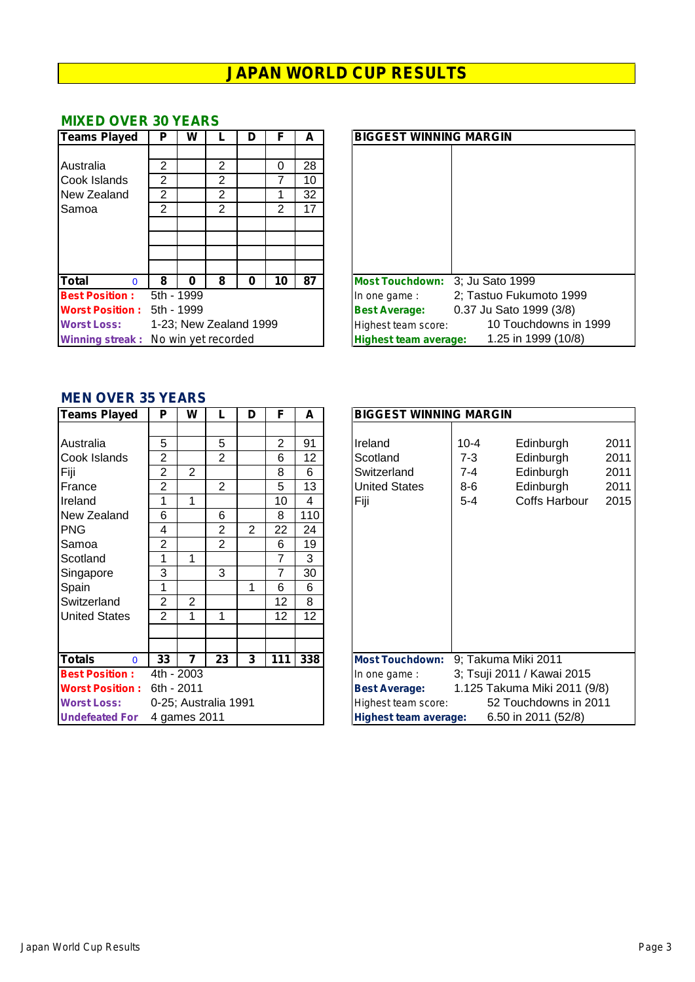#### **MIXED OVER 30 YEARS**

| <b>Teams Played</b>                        | P              | W          |                        | D | F  | A  | <b>BIGGEST WINNING MARGIN</b>                       |
|--------------------------------------------|----------------|------------|------------------------|---|----|----|-----------------------------------------------------|
|                                            |                |            |                        |   |    |    |                                                     |
| Australia                                  | 2              |            | 2                      |   | 0  | 28 |                                                     |
| <b>Cook Islands</b>                        | $\overline{2}$ |            | 2                      |   |    | 10 |                                                     |
| New Zealand                                | 2              |            | 2                      |   |    | 32 |                                                     |
| <b>Samoa</b>                               | 2              |            | 2                      |   | 2  | 17 |                                                     |
|                                            |                |            |                        |   |    |    |                                                     |
|                                            |                |            |                        |   |    |    |                                                     |
|                                            |                |            |                        |   |    |    |                                                     |
|                                            |                |            |                        |   |    |    |                                                     |
| <b>Total</b><br>$\Omega$                   | 8              | O          | 8                      | O | 10 | 87 | Most Touchdown: 3; Ju Sato 1999                     |
| <b>Best Position:</b>                      |                | 5th - 1999 |                        |   |    |    | 2; Tastuo Fukumoto 1999<br>In one game :            |
| <b>Worst Position:</b>                     |                | 5th - 1999 |                        |   |    |    | 0.37 Ju Sato 1999 (3/8)<br><b>Best Average:</b>     |
| <b>Worst Loss:</b>                         |                |            | 1-23; New Zealand 1999 |   |    |    | 10 Touchdowns in 199<br>Highest team score:         |
| <b>Winning streak:</b> No win yet recorded |                |            |                        |   |    |    | 1.25 in 1999 (10/8)<br><b>Highest team average:</b> |

| <b>Teams Played</b>                 | P          | W        |                        | D | F  | A  | <b>BIGGEST WINNING MARGIN</b>                       |
|-------------------------------------|------------|----------|------------------------|---|----|----|-----------------------------------------------------|
|                                     |            |          |                        |   |    |    |                                                     |
| Australia                           | 2          |          | 2                      |   | 0  | 28 |                                                     |
| Cook Islands                        | 2          |          | 2                      |   |    | 10 |                                                     |
| New Zealand                         | 2          |          | 2                      |   |    | 32 |                                                     |
| Samoa                               | 2          |          | 2                      |   | 2  | 17 |                                                     |
|                                     |            |          |                        |   |    |    |                                                     |
|                                     |            |          |                        |   |    |    |                                                     |
|                                     |            |          |                        |   |    |    |                                                     |
|                                     |            |          |                        |   |    |    |                                                     |
| <b>Total</b><br>$\Omega$            | 8          | $\bf{0}$ | 8                      | 0 | 10 | 87 | Most Touchdown: 3: Ju Sato 1999                     |
| <b>Best Position:</b>               | 5th - 1999 |          |                        |   |    |    | 2; Tastuo Fukumoto 1999<br>In one game :            |
| <b>Worst Position:</b>              | 5th - 1999 |          |                        |   |    |    | 0.37 Ju Sato 1999 (3/8)<br><b>Best Average:</b>     |
| <b>Worst Loss:</b>                  |            |          | 1-23; New Zealand 1999 |   |    |    | 10 Touchdowns in 1999<br>Highest team score:        |
| Winning streak: No win yet recorded |            |          |                        |   |    |    | 1.25 in 1999 (10/8)<br><b>Highest team average:</b> |

### **MEN OVER 35 YEARS**

| <b>Teams Played</b>       | P              | W              |                      | D | F              | A   | <b>BIGGEST WINNING MARGIN</b>                                |
|---------------------------|----------------|----------------|----------------------|---|----------------|-----|--------------------------------------------------------------|
|                           |                |                |                      |   |                |     |                                                              |
| Australia                 | 5              |                | 5                    |   | $\overline{2}$ | 91  | $\overline{2}$<br>Ireland<br>$10 - 4$<br>Edinburgh           |
| Cook Islands              | 2              |                | $\overline{2}$       |   | 6              | 12  | $\overline{c}$<br>Edinburgh<br>Scotland<br>7-3               |
| Fiji                      | $\overline{2}$ | $\overline{2}$ |                      |   | 8              | 6   | $\overline{2}$<br>Edinburgh<br>Switzerland<br>7-4            |
| France                    | 2              |                | 2                    |   | 5              | 13  | $\overline{2}$<br><b>United States</b><br>$8-6$<br>Edinburgh |
| Ireland                   | 1              | 1              |                      |   | 10             | 4   | Coffs Harbour<br>$\overline{2}$<br>Fiji<br>$5 - 4$           |
| New Zealand               | 6              |                | 6                    |   | 8              | 110 |                                                              |
| <b>PNG</b>                | 4              |                | $\overline{2}$       | 2 | 22             | 24  |                                                              |
| Samoa                     | $\overline{2}$ |                | $\overline{2}$       |   | 6              | 19  |                                                              |
| Scotland                  | 1              | 1              |                      |   | 7              | 3   |                                                              |
| Singapore                 | 3              |                | 3                    |   | 7              | 30  |                                                              |
| Spain                     | 1              |                |                      | 1 | 6              | 6   |                                                              |
| Switzerland               | 2              | 2              |                      |   | 12             | 8   |                                                              |
| <b>United States</b>      | $\overline{2}$ | 1              | 1                    |   | 12             | 12  |                                                              |
|                           |                |                |                      |   |                |     |                                                              |
|                           |                |                |                      |   |                |     |                                                              |
| <b>Totals</b><br>$\Omega$ | 33             | 7              | 23                   | 3 | 111            | 338 | 9; Takuma Miki 2011<br><b>Most Touchdown:</b>                |
| <b>Best Position:</b>     | 4th - 2003     |                |                      |   |                |     | 3; Tsuji 2011 / Kawai 2015<br>In one game :                  |
| <b>Worst Position:</b>    | 6th - 2011     |                |                      |   |                |     | 1.125 Takuma Miki 2011 (9/8)<br><b>Best Average:</b>         |
| <b>Worst Loss:</b>        |                |                | 0-25; Australia 1991 |   |                |     | 52 Touchdowns in 2011<br>Highest team score:                 |
| <b>Undefeated For</b>     |                | 4 games 2011   |                      |   |                |     | 6.50 in 2011 (52/8)<br><b>Highest team average:</b>          |

| Teams Played              | P                    | W |                | D              | F   | A   | <b>BIGGEST WINNING MARGIN</b>                        |                       |  |  |  |  |
|---------------------------|----------------------|---|----------------|----------------|-----|-----|------------------------------------------------------|-----------------------|--|--|--|--|
|                           |                      |   |                |                |     |     |                                                      |                       |  |  |  |  |
| Australia                 | 5                    |   | 5              |                | 2   | 91  | Ireland<br>$10 - 4$<br>Edinburgh                     | 2011                  |  |  |  |  |
| Cook Islands              | $\overline{2}$       |   | $\overline{2}$ |                | 6   | 12  | $7 - 3$<br>Scotland<br>Edinburgh                     | 2011                  |  |  |  |  |
| Fiji                      | 2                    | 2 |                |                | 8   | 6   | Edinburgh<br>Switzerland<br>7-4                      | 2011                  |  |  |  |  |
| France                    | 2                    |   | 2              |                | 5   | 13  | <b>United States</b><br>$8-6$<br>Edinburgh           | 2011                  |  |  |  |  |
| Ireland                   | 1                    |   |                |                | 10  | 4   | Fiji<br>Coffs Harbour<br>$5 - 4$                     | 2015                  |  |  |  |  |
| New Zealand               | 6                    |   | 6              |                | 8   | 110 |                                                      |                       |  |  |  |  |
| PNG.                      | 4                    |   | 2              | $\overline{2}$ | 22  | 24  |                                                      |                       |  |  |  |  |
| Samoa                     | 2                    |   | $\overline{2}$ |                | 6   | 19  |                                                      |                       |  |  |  |  |
| Scotland                  | 1                    |   |                |                | 7   | 3   |                                                      |                       |  |  |  |  |
| Singapore                 | 3                    |   | 3              |                | 7   | 30  |                                                      |                       |  |  |  |  |
| Spain                     | 1                    |   |                | 1              | 6   | 6   |                                                      |                       |  |  |  |  |
| Switzerland               | 2                    | 2 |                |                | 12  | 8   |                                                      |                       |  |  |  |  |
| <b>United States</b>      | 2                    |   | 1              |                | 12  | 12  |                                                      |                       |  |  |  |  |
|                           |                      |   |                |                |     |     |                                                      |                       |  |  |  |  |
|                           |                      |   |                |                |     |     |                                                      |                       |  |  |  |  |
| <b>Totals</b><br>$\Omega$ | 33                   | 7 | 23             | 3              | 111 | 338 | 9; Takuma Miki 2011<br><b>Most Touchdown:</b>        |                       |  |  |  |  |
| <b>Best Position:</b>     | 4th - 2003           |   |                |                |     |     | 3; Tsuji 2011 / Kawai 2015<br>In one game :          |                       |  |  |  |  |
| <b>Worst Position:</b>    | 6th - 2011           |   |                |                |     |     | 1.125 Takuma Miki 2011 (9/8)<br><b>Best Average:</b> |                       |  |  |  |  |
| <b>Worst Loss:</b>        | 0-25; Australia 1991 |   |                |                |     |     | Highest team score:                                  | 52 Touchdowns in 2011 |  |  |  |  |
| <b>Undefeated For</b>     | 4 games 2011         |   |                |                |     |     | 6.50 in 2011 (52/8)<br><b>Highest team average:</b>  |                       |  |  |  |  |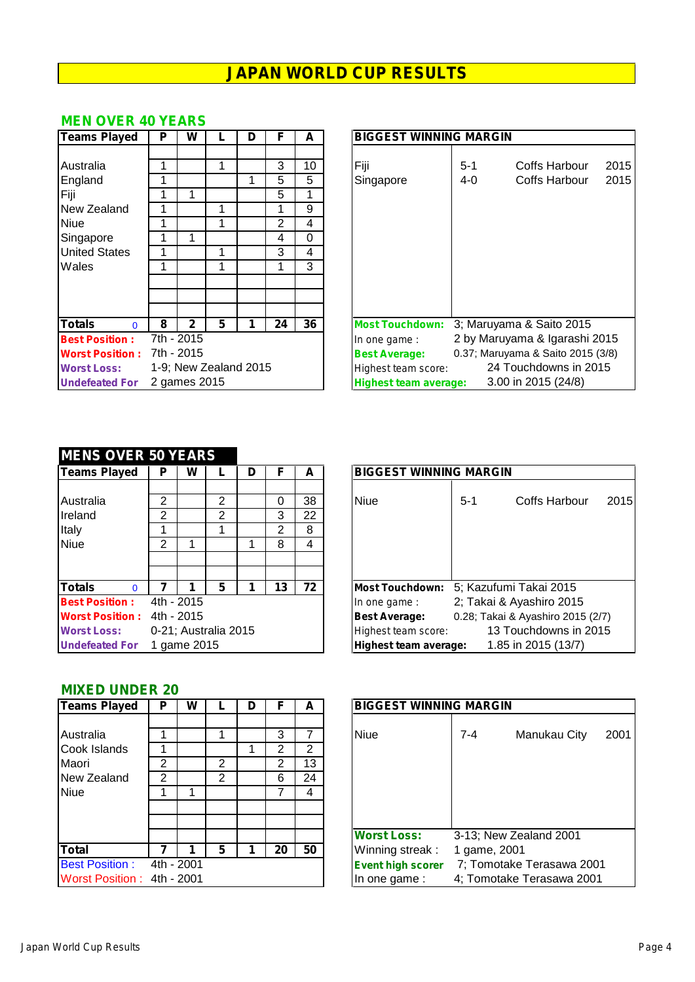#### **MEN OVER 40 YEARS**

| Teams Played              | P | W            |                       | D | F  | A  | <b>BIGGEST WINNING MARGIN</b>                            |  |  |  |  |  |  |  |
|---------------------------|---|--------------|-----------------------|---|----|----|----------------------------------------------------------|--|--|--|--|--|--|--|
|                           |   |              |                       |   |    |    |                                                          |  |  |  |  |  |  |  |
| <b>Australia</b>          |   |              |                       |   | 3  | 10 | Fiji<br>Coffs Harbour<br>-2<br>$5-1$                     |  |  |  |  |  |  |  |
| England                   |   |              |                       |   | 5  | 5  | $\overline{2}$<br>$4 - 0$<br>Coffs Harbour<br>Singapore  |  |  |  |  |  |  |  |
| Fiji                      |   |              |                       |   | 5  | 1  |                                                          |  |  |  |  |  |  |  |
| New Zealand               |   |              |                       |   |    | 9  |                                                          |  |  |  |  |  |  |  |
| <b>Niue</b>               |   |              |                       |   | 2  | 4  |                                                          |  |  |  |  |  |  |  |
| Singapore                 |   |              |                       |   | 4  | 0  |                                                          |  |  |  |  |  |  |  |
| <b>United States</b>      |   |              |                       |   | 3  | 4  |                                                          |  |  |  |  |  |  |  |
| Wales                     |   |              |                       |   |    | 3  |                                                          |  |  |  |  |  |  |  |
|                           |   |              |                       |   |    |    |                                                          |  |  |  |  |  |  |  |
|                           |   |              |                       |   |    |    |                                                          |  |  |  |  |  |  |  |
| <b>Totals</b><br>$\Omega$ | 8 | 2            | 5                     | 1 | 24 | 36 | 3; Maruyama & Saito 2015<br><b>Most Touchdown:</b>       |  |  |  |  |  |  |  |
| <b>Best Position:</b>     |   | 7th - 2015   |                       |   |    |    | 2 by Maruyama & Igarashi 201<br>In one game:             |  |  |  |  |  |  |  |
| <b>Worst Position:</b>    |   | 7th - 2015   |                       |   |    |    | 0.37; Maruyama & Saito 2015 (3/8<br><b>Best Average:</b> |  |  |  |  |  |  |  |
| <b>Worst Loss:</b>        |   |              | 1-9; New Zealand 2015 |   |    |    | 24 Touchdowns in 2015<br>Highest team score:             |  |  |  |  |  |  |  |
| <b>Undefeated For</b>     |   | 2 games 2015 |                       |   |    |    | 3.00 in 2015 (24/8)<br><b>Highest team average:</b>      |  |  |  |  |  |  |  |

| <b>Teams Played</b>       | P                     | W            |   | D | F  | A  | <b>BIGGEST WINNING MARGIN</b>                             |  |  |  |  |  |  |  |
|---------------------------|-----------------------|--------------|---|---|----|----|-----------------------------------------------------------|--|--|--|--|--|--|--|
|                           |                       |              |   |   |    |    |                                                           |  |  |  |  |  |  |  |
| Australia                 |                       |              |   |   | 3  | 10 | Fiji<br>$5 - 1$<br>Coffs Harbour<br>2015                  |  |  |  |  |  |  |  |
| England                   |                       |              |   |   | 5  | 5  | 2015<br>Singapore<br>$4 - 0$<br>Coffs Harbour             |  |  |  |  |  |  |  |
| Fiji                      |                       |              |   |   | 5  |    |                                                           |  |  |  |  |  |  |  |
| New Zealand               |                       |              |   |   |    | 9  |                                                           |  |  |  |  |  |  |  |
| Niue                      |                       |              |   |   | 2  | 4  |                                                           |  |  |  |  |  |  |  |
| Singapore                 |                       |              |   |   | 4  | 0  |                                                           |  |  |  |  |  |  |  |
| <b>United States</b>      |                       |              |   |   | 3  | 4  |                                                           |  |  |  |  |  |  |  |
| Wales                     |                       |              |   |   |    | 3  |                                                           |  |  |  |  |  |  |  |
|                           |                       |              |   |   |    |    |                                                           |  |  |  |  |  |  |  |
|                           |                       |              |   |   |    |    |                                                           |  |  |  |  |  |  |  |
|                           |                       |              |   |   |    |    |                                                           |  |  |  |  |  |  |  |
| <b>Totals</b><br>$\Omega$ | 8                     | 2            | 5 |   | 24 | 36 | 3; Maruyama & Saito 2015<br><b>Most Touchdown:</b>        |  |  |  |  |  |  |  |
| <b>Best Position:</b>     |                       | 7th - 2015   |   |   |    |    | 2 by Maruyama & Igarashi 2015<br>In one game:             |  |  |  |  |  |  |  |
| <b>Worst Position:</b>    |                       | 7th - 2015   |   |   |    |    | 0.37; Maruyama & Saito 2015 (3/8)<br><b>Best Average:</b> |  |  |  |  |  |  |  |
| <b>Worst Loss:</b>        | 1-9; New Zealand 2015 |              |   |   |    |    | 24 Touchdowns in 2015<br>Highest team score:              |  |  |  |  |  |  |  |
| <b>Undefeated For</b>     |                       | 2 games 2015 |   |   |    |    | 3.00 in 2015 (24/8)<br><b>Highest team average:</b>       |  |  |  |  |  |  |  |

#### **MENS OVER 50 YEARS**

| Teams Played              | P | W           |                      | D | F  | A  | <b>BIGGEST WINNING MARGIN</b>                             |
|---------------------------|---|-------------|----------------------|---|----|----|-----------------------------------------------------------|
|                           |   |             |                      |   |    |    |                                                           |
| Australia                 | 2 |             | 2                    |   | 0  | 38 | 2<br><b>Niue</b><br>Coffs Harbour<br>$5 - 1$              |
| Ireland                   | 2 |             | 2                    |   | 3  | 22 |                                                           |
| Italy                     |   |             |                      |   | 2  | 8  |                                                           |
| Niue                      | 2 |             |                      |   | 8  | 4  |                                                           |
|                           |   |             |                      |   |    |    |                                                           |
|                           |   |             |                      |   |    |    |                                                           |
| <b>Totals</b><br>$\Omega$ |   |             | 5                    |   | 13 | 72 | 5; Kazufumi Takai 2015<br><b>Most Touchdown:</b>          |
| <b>Best Position:</b>     |   | 4th - 2015  |                      |   |    |    | 2; Takai & Ayashiro 2015<br>In one game :                 |
| <b>Worst Position:</b>    |   | 4th - 2015  |                      |   |    |    | 0.28; Takai & Ayashiro 2015 (2/7)<br><b>Best Average:</b> |
| <b>Worst Loss:</b>        |   |             | 0-21; Australia 2015 |   |    |    | 13 Touchdowns in 2015<br>Highest team score:              |
| <b>Undefeated For</b>     |   | 1 game 2015 |                      |   |    |    | 1.85 in 2015 (13/7)<br>Highest team average:              |

| Australia              | っ          |             | 2                    | 0  | 38 | 2015<br><b>Niue</b><br>Coffs Harbour<br>$5-1$             |
|------------------------|------------|-------------|----------------------|----|----|-----------------------------------------------------------|
| Ireland                | 2          |             | 2                    | 3  | 22 |                                                           |
| Italy                  |            |             |                      | 2  | 8  |                                                           |
| <b>Niue</b>            | 2          |             |                      | 8  | 4  |                                                           |
|                        |            |             |                      |    |    |                                                           |
|                        |            |             |                      |    |    |                                                           |
| <b>Totals</b>          |            |             |                      | 13 | 72 | Most Touchdown: 5; Kazufumi Takai 2015                    |
| <b>Best Position:</b>  |            | 4th - 2015  |                      |    |    | 2; Takai & Ayashiro 2015<br>In one game:                  |
| <b>Worst Position:</b> | 4th - 2015 |             |                      |    |    | 0.28; Takai & Ayashiro 2015 (2/7)<br><b>Best Average:</b> |
| <b>Worst Loss:</b>     |            |             | 0-21; Australia 2015 |    |    | 13 Touchdowns in 2015<br>Highest team score:              |
| <b>Undefeated For</b>  |            | 1 game 2015 |                      |    |    | <b>Highest team average:</b><br>1.85 in 2015 (13/7)       |

#### **MIXED UNDER 20**

| <b>Teams Played</b>        | Р          | W |   | D | F  | A              | <b>BIGGEST WINNING MARGIN</b> |                       |  |  |  |  |  |
|----------------------------|------------|---|---|---|----|----------------|-------------------------------|-----------------------|--|--|--|--|--|
|                            |            |   |   |   |    |                |                               |                       |  |  |  |  |  |
| Australia                  |            |   |   |   | 3  |                | <b>Niue</b>                   | Manukau C<br>$7 - 4$  |  |  |  |  |  |
| Cook Islands               |            |   |   |   | 2  | $\overline{2}$ |                               |                       |  |  |  |  |  |
| Maori                      | 2          |   | 2 |   | 2  | 13             |                               |                       |  |  |  |  |  |
| New Zealand                | 2          |   | 2 |   | 6  | 24             |                               |                       |  |  |  |  |  |
| Niue                       |            |   |   |   |    | 4              |                               |                       |  |  |  |  |  |
|                            |            |   |   |   |    |                |                               |                       |  |  |  |  |  |
|                            |            |   |   |   |    |                |                               |                       |  |  |  |  |  |
|                            |            |   |   |   |    |                | <b>Worst Loss:</b>            | 3-13; New Zealand 200 |  |  |  |  |  |
| <b>Total</b>               |            |   | 5 |   | 20 | 50             | Winning streak:               | 1 game, 2001          |  |  |  |  |  |
| <b>Best Position:</b>      | 4th - 2001 |   |   |   |    |                | <b>Event high scorer</b>      | 7; Tomotake Terasawa  |  |  |  |  |  |
| Worst Position: 4th - 2001 |            |   |   |   |    |                | In one game:                  | 4; Tomotake Terasawa  |  |  |  |  |  |

| <b>Teams Played</b>        | Р | w          |   | D |    | A  |                          | <b>BIGGEST WINNING MARGIN</b> |  |  |  |  |  |  |  |
|----------------------------|---|------------|---|---|----|----|--------------------------|-------------------------------|--|--|--|--|--|--|--|
| Australia                  |   |            |   |   | 3  | 7  | <b>Niue</b>              | 2001<br>7-4<br>Manukau City   |  |  |  |  |  |  |  |
| Cook Islands               |   |            |   |   | 2  | 2  |                          |                               |  |  |  |  |  |  |  |
| Maori                      | 2 |            | 2 |   | 2  | 13 |                          |                               |  |  |  |  |  |  |  |
| New Zealand                | 2 |            | 2 |   | 6  | 24 |                          |                               |  |  |  |  |  |  |  |
| Niue                       |   |            |   |   |    | 4  |                          |                               |  |  |  |  |  |  |  |
|                            |   |            |   |   |    |    |                          |                               |  |  |  |  |  |  |  |
|                            |   |            |   |   |    |    |                          |                               |  |  |  |  |  |  |  |
|                            |   |            |   |   |    |    | <b>Worst Loss:</b>       | 3-13; New Zealand 2001        |  |  |  |  |  |  |  |
| Total                      |   |            |   |   | 20 | 50 | Winning streak:          | 1 game, 2001                  |  |  |  |  |  |  |  |
| <b>Best Position:</b>      |   | 4th - 2001 |   |   |    |    | <b>Event high scorer</b> | 7; Tomotake Terasawa 2001     |  |  |  |  |  |  |  |
| Worst Position: 4th - 2001 |   |            |   |   |    |    | In one game:             | 4; Tomotake Terasawa 2001     |  |  |  |  |  |  |  |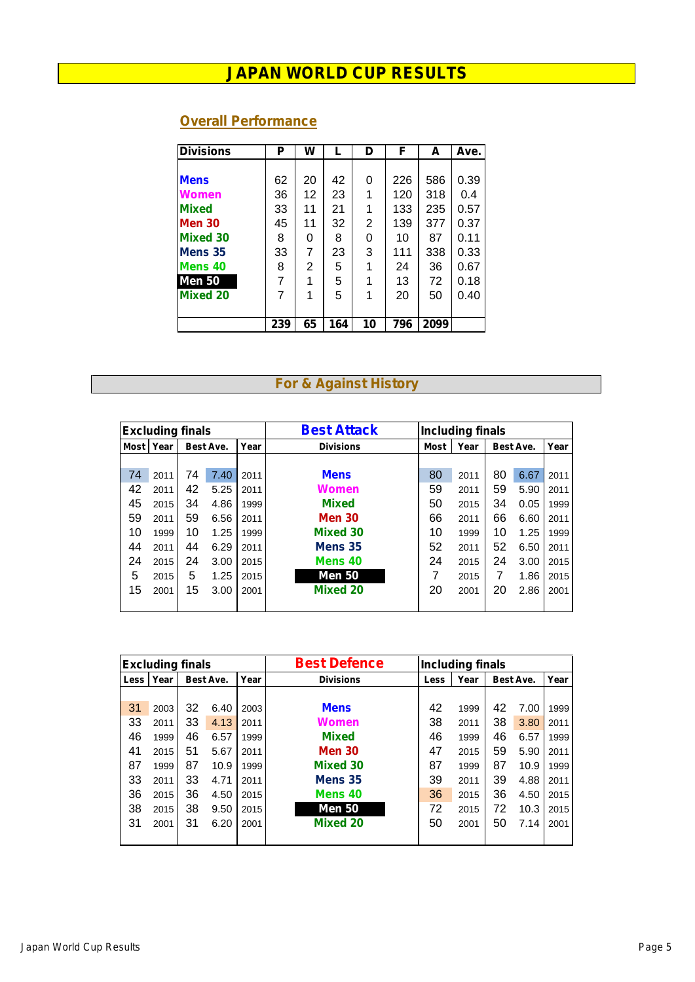### **Overall Performance**

| <b>Divisions</b> | Р   | W  |     | D  | F   | A    | Ave. |
|------------------|-----|----|-----|----|-----|------|------|
|                  |     |    |     |    |     |      |      |
| <b>Mens</b>      | 62  | 20 | 42  | 0  | 226 | 586  | 0.39 |
| Women            | 36  | 12 | 23  | 1  | 120 | 318  | 0.4  |
| <b>Mixed</b>     | 33  | 11 | 21  |    | 133 | 235  | 0.57 |
| <b>Men 30</b>    | 45  | 11 | 32  | 2  | 139 | 377  | 0.37 |
| <b>Mixed 30</b>  | 8   | 0  | 8   | 0  | 10  | 87   | 0.11 |
| Mens 35          | 33  | 7  | 23  | 3  | 111 | 338  | 0.33 |
| Mens 40          | 8   | 2  | 5   |    | 24  | 36   | 0.67 |
| <b>Men 50</b>    | 7   | 1  | 5   |    | 13  | 72   | 0.18 |
| <b>Mixed 20</b>  | 7   | 1  | 5   |    | 20  | 50   | 0.40 |
|                  |     |    |     |    |     |      |      |
|                  | 239 | 65 | 164 | 10 | 796 | 2099 |      |

### **For & Against History**

|             | <b>Excluding finals</b> |    |           |      | <b>Best Attack</b> | <b>Including finals</b> |      |           |      |      |  |
|-------------|-------------------------|----|-----------|------|--------------------|-------------------------|------|-----------|------|------|--|
| <b>Most</b> | Year                    |    | Best Ave. | Year | <b>Divisions</b>   | Most                    | Year | Best Ave. | Year |      |  |
|             |                         |    |           |      |                    |                         |      |           |      |      |  |
| 74          | 2011                    | 74 | 7.40      | 2011 | <b>Mens</b>        | 80                      | 2011 | 80        | 6.67 | 2011 |  |
| 42          | 2011                    | 42 | 5.25      | 2011 | Women              | 59                      | 2011 | 59        | 5.90 | 2011 |  |
| 45          | 2015                    | 34 | 4.86      | 1999 | <b>Mixed</b>       | 50                      | 2015 | 34        | 0.05 | 1999 |  |
| 59          | 2011                    | 59 | 6.56      | 2011 | <b>Men 30</b>      | 66                      | 2011 | 66        | 6.60 | 2011 |  |
| 10          | 1999                    | 10 | 1.25      | 1999 | Mixed 30           | 10                      | 1999 | 10        | 1.25 | 1999 |  |
| 44          | 2011                    | 44 | 6.29      | 2011 | Mens <sub>35</sub> | 52                      | 2011 | 52        | 6.50 | 2011 |  |
| 24          | 2015                    | 24 | 3.00      | 2015 | Mens <sub>40</sub> | 24                      | 2015 | 24        | 3.00 | 2015 |  |
| 5           | 2015                    | 5  | 1.25      | 2015 | <b>Men 50</b>      | 7                       | 2015 | 7         | 1.86 | 2015 |  |
| 15          | 2001                    | 15 | 3.00      | 2001 | <b>Mixed 20</b>    | 20                      | 2001 | 20        | 2.86 | 2001 |  |
|             |                         |    |           |      |                    |                         |      |           |      |      |  |

|       | <b>Excluding finals</b> |    |           |      | <b>Best Defence</b> | <b>Including finals</b> |      |           |      |      |  |
|-------|-------------------------|----|-----------|------|---------------------|-------------------------|------|-----------|------|------|--|
| Lessi | Year                    |    | Best Ave. | Year | <b>Divisions</b>    | Less                    | Year | Best Ave. | Year |      |  |
|       |                         |    |           |      |                     |                         |      |           |      |      |  |
| 31    | 2003                    | 32 | 6.40      | 2003 | <b>Mens</b>         | 42                      | 1999 | 42        | 7.00 | 1999 |  |
| 33    | 2011                    | 33 | 4.13      | 2011 | Women               | 38                      | 2011 | 38        | 3.80 | 2011 |  |
| 46    | 1999                    | 46 | 6.57      | 1999 | <b>Mixed</b>        | 46                      | 1999 | 46        | 6.57 | 1999 |  |
| 41    | 2015                    | 51 | 5.67      | 2011 | <b>Men 30</b>       | 47                      | 2015 | 59        | 5.90 | 2011 |  |
| 87    | 1999                    | 87 | 10.9      | 1999 | <b>Mixed 30</b>     | 87                      | 1999 | 87        | 10.9 | 1999 |  |
| 33    | 2011                    | 33 | 4.71      | 2011 | Mens <sub>35</sub>  | 39                      | 2011 | 39        | 4.88 | 2011 |  |
| 36    | 2015                    | 36 | 4.50      | 2015 | Mens <sub>40</sub>  | 36                      | 2015 | 36        | 4.50 | 2015 |  |
| 38    | 2015                    | 38 | 9.50      | 2015 | <b>Men 50</b>       | 72                      | 2015 | 72        | 10.3 | 2015 |  |
| 31    | 2001                    | 31 | 6.20      | 2001 | <b>Mixed 20</b>     | 50                      | 2001 | 50        | 7.14 | 2001 |  |
|       |                         |    |           |      |                     |                         |      |           |      |      |  |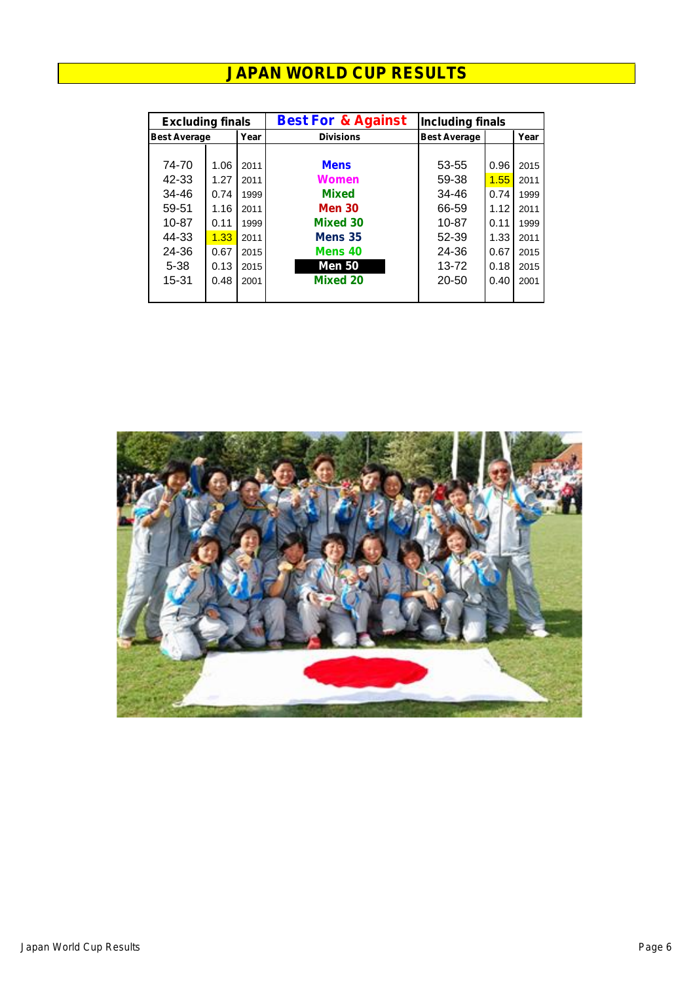| <b>Excluding finals</b> |      |      | <b>Best For &amp; Against</b> | <b>Including finals</b> |      |      |  |  |
|-------------------------|------|------|-------------------------------|-------------------------|------|------|--|--|
| <b>Best Average</b>     |      | Year | <b>Divisions</b>              | <b>Best Average</b>     |      | Year |  |  |
|                         |      |      |                               |                         |      |      |  |  |
| 74-70                   | 1.06 | 2011 | <b>Mens</b>                   | 53-55                   | 0.96 | 2015 |  |  |
| 42-33                   | 1.27 | 2011 | Women                         | 59-38                   | 1.55 | 2011 |  |  |
| 34-46                   | 0.74 | 1999 | <b>Mixed</b>                  | 34-46                   | 0.74 | 1999 |  |  |
| 59-51                   | 1.16 | 2011 | <b>Men 30</b>                 | 66-59                   | 1.12 | 2011 |  |  |
| 10-87                   | 0.11 | 1999 | <b>Mixed 30</b>               | 10-87                   | 0.11 | 1999 |  |  |
| 44-33                   | 1.33 | 2011 | Mens 35                       | 52-39                   | 1.33 | 2011 |  |  |
| 24-36                   | 0.67 | 2015 | Mens 40                       | 24-36                   | 0.67 | 2015 |  |  |
| $5 - 38$                | 0.13 | 2015 | <b>Men 50</b>                 | 13-72                   | 0.18 | 2015 |  |  |
| 15-31                   | 0.48 | 2001 | <b>Mixed 20</b>               | 20-50                   | 0.40 | 2001 |  |  |
|                         |      |      |                               |                         |      |      |  |  |